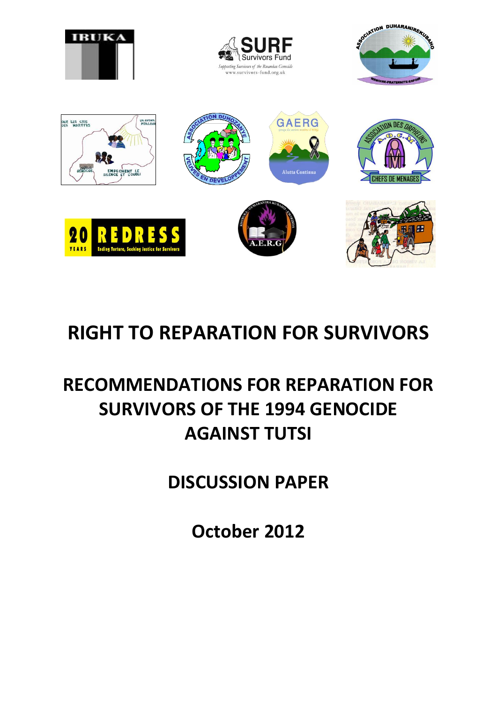

# **RIGHT TO REPARATION FOR SURVIVORS**

# **RECOMMENDATIONS FOR REPARATION FOR SURVIVORS OF THE 1994 GENOCIDE AGAINST TUTSI**

**DISCUSSION PAPER**

**October 2012**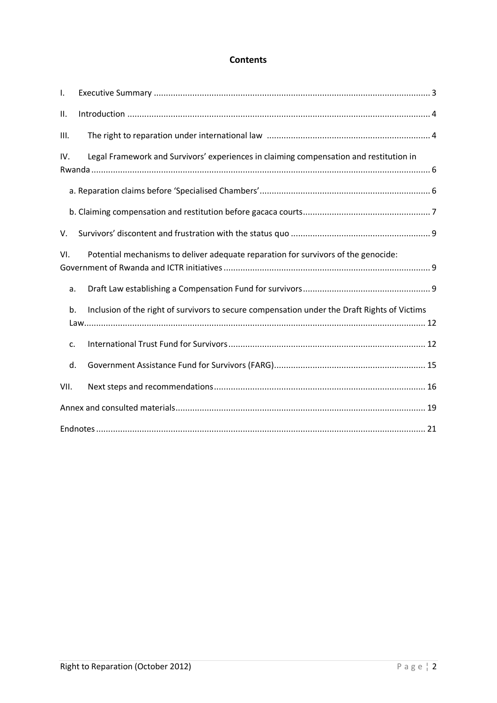#### **Contents**

| I.   |                                                                                              |
|------|----------------------------------------------------------------------------------------------|
| ΙΙ.  |                                                                                              |
| III. |                                                                                              |
| IV.  | Legal Framework and Survivors' experiences in claiming compensation and restitution in       |
|      |                                                                                              |
|      |                                                                                              |
| V.   |                                                                                              |
| VI.  | Potential mechanisms to deliver adequate reparation for survivors of the genocide:           |
| a.   |                                                                                              |
| b.   | Inclusion of the right of survivors to secure compensation under the Draft Rights of Victims |
| c.   |                                                                                              |
| d.   |                                                                                              |
| VII. |                                                                                              |
|      |                                                                                              |
|      |                                                                                              |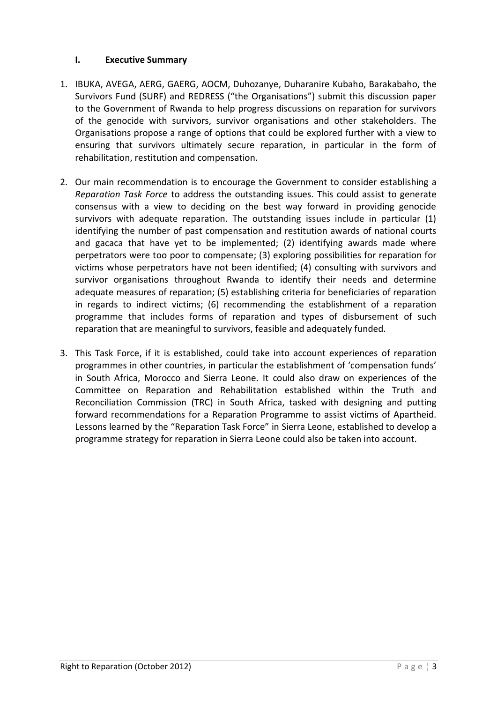### <span id="page-2-0"></span>**I. Executive Summary**

- 1. IBUKA, AVEGA, AERG, GAERG, AOCM, Duhozanye, Duharanire Kubaho, Barakabaho, the Survivors Fund (SURF) and REDRESS ("the Organisations") submit this discussion paper to the Government of Rwanda to help progress discussions on reparation for survivors of the genocide with survivors, survivor organisations and other stakeholders. The Organisations propose a range of options that could be explored further with a view to ensuring that survivors ultimately secure reparation, in particular in the form of rehabilitation, restitution and compensation.
- 2. Our main recommendation is to encourage the Government to consider establishing a *Reparation Task Force* to address the outstanding issues. This could assist to generate consensus with a view to deciding on the best way forward in providing genocide survivors with adequate reparation. The outstanding issues include in particular (1) identifying the number of past compensation and restitution awards of national courts and gacaca that have yet to be implemented; (2) identifying awards made where perpetrators were too poor to compensate; (3) exploring possibilities for reparation for victims whose perpetrators have not been identified; (4) consulting with survivors and survivor organisations throughout Rwanda to identify their needs and determine adequate measures of reparation; (5) establishing criteria for beneficiaries of reparation in regards to indirect victims; (6) recommending the establishment of a reparation programme that includes forms of reparation and types of disbursement of such reparation that are meaningful to survivors, feasible and adequately funded.
- 3. This Task Force, if it is established, could take into account experiences of reparation programmes in other countries, in particular the establishment of 'compensation funds' in South Africa, Morocco and Sierra Leone. It could also draw on experiences of the Committee on Reparation and Rehabilitation established within the Truth and Reconciliation Commission (TRC) in South Africa, tasked with designing and putting forward recommendations for a Reparation Programme to assist victims of Apartheid. Lessons learned by the "Reparation Task Force" in Sierra Leone, established to develop a programme strategy for reparation in Sierra Leone could also be taken into account.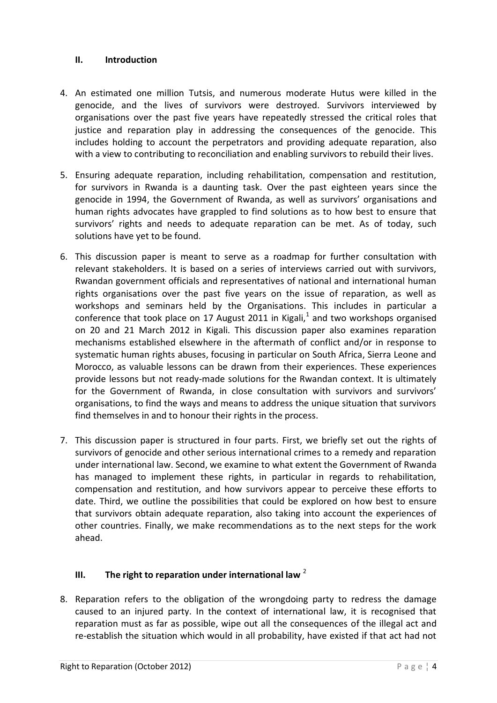### <span id="page-3-0"></span>**II. Introduction**

- 4. An estimated one million Tutsis, and numerous moderate Hutus were killed in the genocide, and the lives of survivors were destroyed. Survivors interviewed by organisations over the past five years have repeatedly stressed the critical roles that justice and reparation play in addressing the consequences of the genocide. This includes holding to account the perpetrators and providing adequate reparation, also with a view to contributing to reconciliation and enabling survivors to rebuild their lives.
- 5. Ensuring adequate reparation, including rehabilitation, compensation and restitution, for survivors in Rwanda is a daunting task. Over the past eighteen years since the genocide in 1994, the Government of Rwanda, as well as survivors' organisations and human rights advocates have grappled to find solutions as to how best to ensure that survivors' rights and needs to adequate reparation can be met. As of today, such solutions have yet to be found.
- 6. This discussion paper is meant to serve as a roadmap for further consultation with relevant stakeholders. It is based on a series of interviews carried out with survivors, Rwandan government officials and representatives of national and international human rights organisations over the past five years on the issue of reparation, as well as workshops and seminars held by the Organisations. This includes in particular a conference that took place on 17 August 2011 in Kigali, $^1$  and two workshops organised on 20 and 21 March 2012 in Kigali. This discussion paper also examines reparation mechanisms established elsewhere in the aftermath of conflict and/or in response to systematic human rights abuses, focusing in particular on South Africa, Sierra Leone and Morocco, as valuable lessons can be drawn from their experiences. These experiences provide lessons but not ready-made solutions for the Rwandan context. It is ultimately for the Government of Rwanda, in close consultation with survivors and survivors' organisations, to find the ways and means to address the unique situation that survivors find themselves in and to honour their rights in the process.
- 7. This discussion paper is structured in four parts. First, we briefly set out the rights of survivors of genocide and other serious international crimes to a remedy and reparation under international law. Second, we examine to what extent the Government of Rwanda has managed to implement these rights, in particular in regards to rehabilitation, compensation and restitution, and how survivors appear to perceive these efforts to date. Third, we outline the possibilities that could be explored on how best to ensure that survivors obtain adequate reparation, also taking into account the experiences of other countries. Finally, we make recommendations as to the next steps for the work ahead.

### <span id="page-3-1"></span>**III. The right to reparation under international law** <sup>2</sup>

8. Reparation refers to the obligation of the wrongdoing party to redress the damage caused to an injured party. In the context of international law, it is recognised that reparation must as far as possible, wipe out all the consequences of the illegal act and re-establish the situation which would in all probability, have existed if that act had not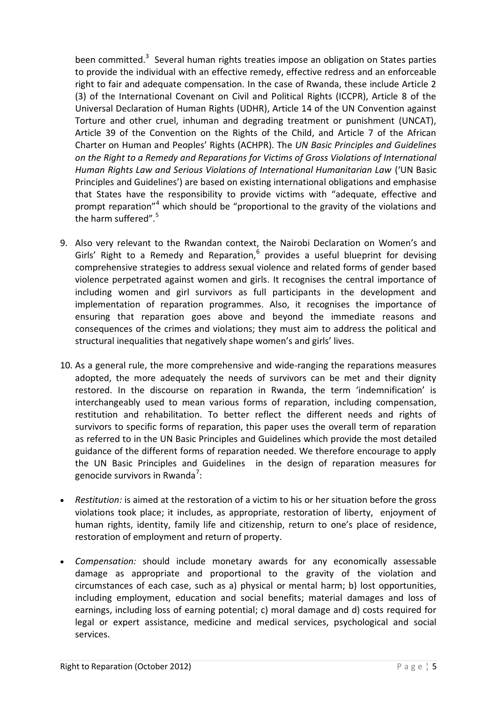been committed.<sup>3</sup> Several human rights treaties impose an obligation on States parties to provide the individual with an effective remedy, effective redress and an enforceable right to fair and adequate compensation. In the case of Rwanda, these include Article 2 (3) of the International Covenant on Civil and Political Rights (ICCPR), Article 8 of the Universal Declaration of Human Rights (UDHR), Article 14 of the UN Convention against Torture and other cruel, inhuman and degrading treatment or punishment (UNCAT), Article 39 of the Convention on the Rights of the Child, and Article 7 of the African Charter on Human and Peoples' Rights (ACHPR). The *UN Basic Principles and Guidelines on the Right to a Remedy and Reparations for Victims of Gross Violations of International Human Rights Law and Serious Violations of International Humanitarian Law* ('UN Basic Principles and Guidelines') are based on existing international obligations and emphasise that States have the responsibility to provide victims with "adequate, effective and prompt reparation"<sup>4</sup> which should be "proportional to the gravity of the violations and the harm suffered" $5$ 

- 9. Also very relevant to the Rwandan context, the Nairobi Declaration on Women's and Girls' Right to a Remedy and Reparation, $6$  provides a useful blueprint for devising comprehensive strategies to address sexual violence and related forms of gender based violence perpetrated against women and girls. It recognises the central importance of including women and girl survivors as full participants in the development and implementation of reparation programmes. Also, it recognises the importance of ensuring that reparation goes above and beyond the immediate reasons and consequences of the crimes and violations; they must aim to address the political and structural inequalities that negatively shape women's and girls' lives.
- 10. As a general rule, the more comprehensive and wide-ranging the reparations measures adopted, the more adequately the needs of survivors can be met and their dignity restored. In the discourse on reparation in Rwanda, the term 'indemnification' is interchangeably used to mean various forms of reparation, including compensation, restitution and rehabilitation. To better reflect the different needs and rights of survivors to specific forms of reparation, this paper uses the overall term of reparation as referred to in the UN Basic Principles and Guidelines which provide the most detailed guidance of the different forms of reparation needed. We therefore encourage to apply the UN Basic Principles and Guidelines in the design of reparation measures for genocide survivors in Rwanda<sup>7</sup>:
- *Restitution:* is aimed at the restoration of a victim to his or her situation before the gross violations took place; it includes, as appropriate, restoration of liberty, enjoyment of human rights, identity, family life and citizenship, return to one's place of residence, restoration of employment and return of property.
- *Compensation:* should include monetary awards for any economically assessable damage as appropriate and proportional to the gravity of the violation and circumstances of each case, such as a) physical or mental harm; b) lost opportunities, including employment, education and social benefits; material damages and loss of earnings, including loss of earning potential; c) moral damage and d) costs required for legal or expert assistance, medicine and medical services, psychological and social services.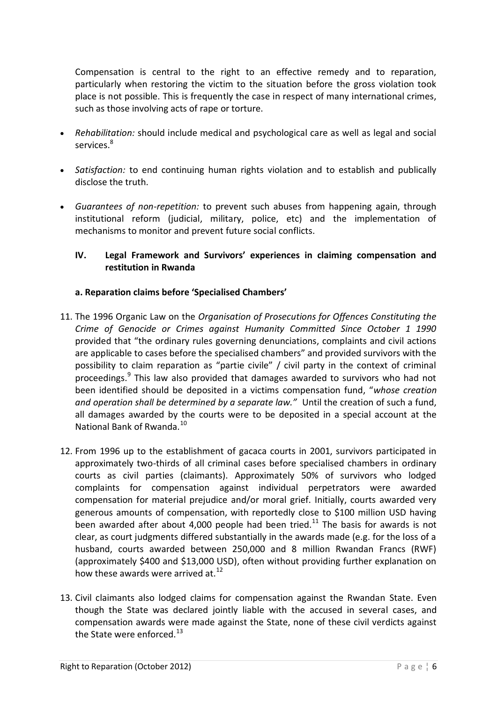Compensation is central to the right to an effective remedy and to reparation, particularly when restoring the victim to the situation before the gross violation took place is not possible. This is frequently the case in respect of many international crimes, such as those involving acts of rape or torture.

- *Rehabilitation:* should include medical and psychological care as well as legal and social services<sup>8</sup>
- *Satisfaction:* to end continuing human rights violation and to establish and publically disclose the truth.
- *Guarantees of non-repetition:* to prevent such abuses from happening again, through institutional reform (judicial, military, police, etc) and the implementation of mechanisms to monitor and prevent future social conflicts.

## <span id="page-5-0"></span>**IV. Legal Framework and Survivors' experiences in claiming compensation and restitution in Rwanda**

#### <span id="page-5-1"></span>**a. Reparation claims before 'Specialised Chambers'**

- 11. The 1996 Organic Law on the *Organisation of Prosecutions for Offences Constituting the Crime of Genocide or Crimes against Humanity Committed Since October 1 1990*  provided that "the ordinary rules governing denunciations, complaints and civil actions are applicable to cases before the specialised chambers" and provided survivors with the possibility to claim reparation as "partie civile" / civil party in the context of criminal proceedings.<sup>9</sup> This law also provided that damages awarded to survivors who had not been identified should be deposited in a victims compensation fund, "*whose creation and operation shall be determined by a separate law."* Until the creation of such a fund, all damages awarded by the courts were to be deposited in a special account at the National Bank of Rwanda.<sup>10</sup>
- 12. From 1996 up to the establishment of gacaca courts in 2001, survivors participated in approximately two-thirds of all criminal cases before specialised chambers in ordinary courts as civil parties (claimants). Approximately 50% of survivors who lodged complaints for compensation against individual perpetrators were awarded compensation for material prejudice and/or moral grief. Initially, courts awarded very generous amounts of compensation, with reportedly close to \$100 million USD having been awarded after about 4,000 people had been tried.<sup>11</sup> The basis for awards is not clear, as court judgments differed substantially in the awards made (e.g. for the loss of a husband, courts awarded between 250,000 and 8 million Rwandan Francs (RWF) (approximately \$400 and \$13,000 USD), often without providing further explanation on how these awards were arrived at.<sup>12</sup>
- 13. Civil claimants also lodged claims for compensation against the Rwandan State. Even though the State was declared jointly liable with the accused in several cases, and compensation awards were made against the State, none of these civil verdicts against the State were enforced. $^{13}$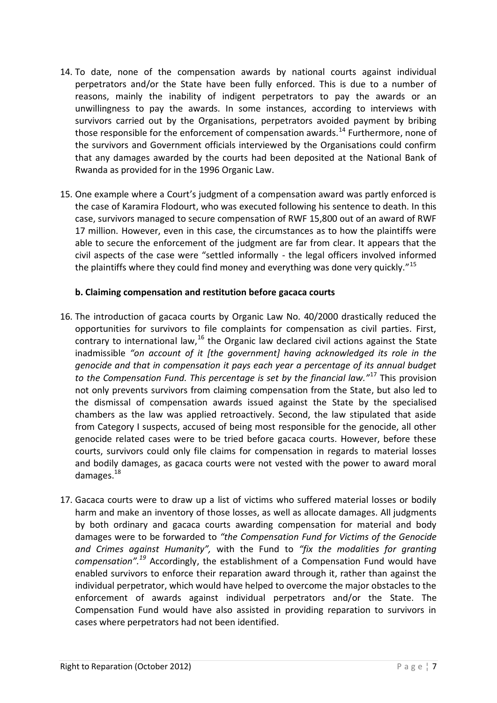- 14. To date, none of the compensation awards by national courts against individual perpetrators and/or the State have been fully enforced. This is due to a number of reasons, mainly the inability of indigent perpetrators to pay the awards or an unwillingness to pay the awards. In some instances, according to interviews with survivors carried out by the Organisations, perpetrators avoided payment by bribing those responsible for the enforcement of compensation awards.<sup>14</sup> Furthermore, none of the survivors and Government officials interviewed by the Organisations could confirm that any damages awarded by the courts had been deposited at the National Bank of Rwanda as provided for in the 1996 Organic Law.
- 15. One example where a Court's judgment of a compensation award was partly enforced is the case of Karamira Flodourt, who was executed following his sentence to death. In this case, survivors managed to secure compensation of RWF 15,800 out of an award of RWF 17 million. However, even in this case, the circumstances as to how the plaintiffs were able to secure the enforcement of the judgment are far from clear. It appears that the civil aspects of the case were "settled informally - the legal officers involved informed the plaintiffs where they could find money and everything was done very quickly."<sup>15</sup>

#### <span id="page-6-0"></span>**b. Claiming compensation and restitution before gacaca courts**

- 16. The introduction of gacaca courts by Organic Law No. 40/2000 drastically reduced the opportunities for survivors to file complaints for compensation as civil parties. First, contrary to international law,<sup>16</sup> the Organic law declared civil actions against the State inadmissible *"on account of it [the government] having acknowledged its role in the genocide and that in compensation it pays each year a percentage of its annual budget to the Compensation Fund. This percentage is set by the financial law."*<sup>17</sup> This provision not only prevents survivors from claiming compensation from the State, but also led to the dismissal of compensation awards issued against the State by the specialised chambers as the law was applied retroactively. Second, the law stipulated that aside from Category I suspects, accused of being most responsible for the genocide, all other genocide related cases were to be tried before gacaca courts. However, before these courts, survivors could only file claims for compensation in regards to material losses and bodily damages, as gacaca courts were not vested with the power to award moral damages.<sup>18</sup>
- 17. Gacaca courts were to draw up a list of victims who suffered material losses or bodily harm and make an inventory of those losses, as well as allocate damages. All judgments by both ordinary and gacaca courts awarding compensation for material and body damages were to be forwarded to *"the Compensation Fund for Victims of the Genocide and Crimes against Humanity",* with the Fund to *"fix the modalities for granting compensation".<sup>19</sup>* Accordingly, the establishment of a Compensation Fund would have enabled survivors to enforce their reparation award through it, rather than against the individual perpetrator, which would have helped to overcome the major obstacles to the enforcement of awards against individual perpetrators and/or the State. The Compensation Fund would have also assisted in providing reparation to survivors in cases where perpetrators had not been identified.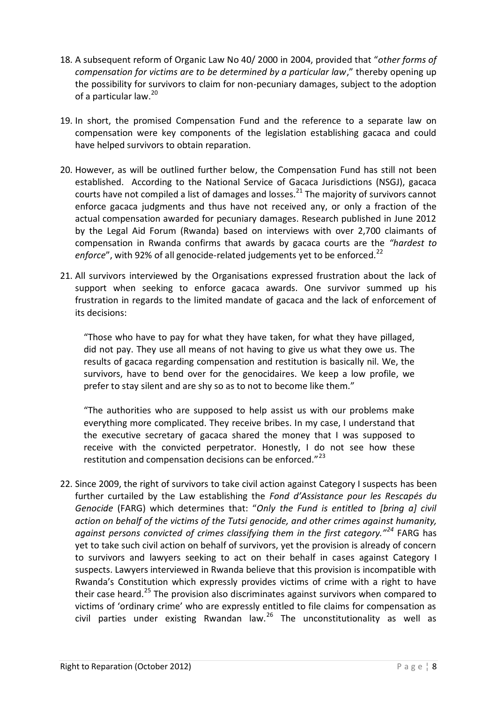- 18. A subsequent reform of Organic Law No 40/ 2000 in 2004, provided that "*other forms of compensation for victims are to be determined by a particular law*," thereby opening up the possibility for survivors to claim for non-pecuniary damages, subject to the adoption of a particular law.<sup>20</sup>
- 19. In short, the promised Compensation Fund and the reference to a separate law on compensation were key components of the legislation establishing gacaca and could have helped survivors to obtain reparation.
- 20. However, as will be outlined further below, the Compensation Fund has still not been established. According to the National Service of Gacaca Jurisdictions (NSGJ), gacaca courts have not compiled a list of damages and losses. $^{21}$  The maiority of survivors cannot enforce gacaca judgments and thus have not received any, or only a fraction of the actual compensation awarded for pecuniary damages. Research published in June 2012 by the Legal Aid Forum (Rwanda) based on interviews with over 2,700 claimants of compensation in Rwanda confirms that awards by gacaca courts are the *"hardest to*  enforce", with 92% of all genocide-related judgements yet to be enforced.<sup>22</sup>
- 21. All survivors interviewed by the Organisations expressed frustration about the lack of support when seeking to enforce gacaca awards. One survivor summed up his frustration in regards to the limited mandate of gacaca and the lack of enforcement of its decisions:

"Those who have to pay for what they have taken, for what they have pillaged, did not pay. They use all means of not having to give us what they owe us. The results of gacaca regarding compensation and restitution is basically nil. We, the survivors, have to bend over for the genocidaires. We keep a low profile, we prefer to stay silent and are shy so as to not to become like them."

"The authorities who are supposed to help assist us with our problems make everything more complicated. They receive bribes. In my case, I understand that the executive secretary of gacaca shared the money that I was supposed to receive with the convicted perpetrator. Honestly, I do not see how these restitution and compensation decisions can be enforced."<sup>23</sup>

22. Since 2009, the right of survivors to take civil action against Category I suspects has been further curtailed by the Law establishing the *Fond d'Assistance pour les Rescapés du Genocide* (FARG) which determines that: "*Only the Fund is entitled to [bring a] civil action on behalf of the victims of the Tutsi genocide, and other crimes against humanity, against persons convicted of crimes classifying them in the first category."<sup>24</sup>* FARG has yet to take such civil action on behalf of survivors, yet the provision is already of concern to survivors and lawyers seeking to act on their behalf in cases against Category I suspects. Lawyers interviewed in Rwanda believe that this provision is incompatible with Rwanda's Constitution which expressly provides victims of crime with a right to have their case heard.<sup>25</sup> The provision also discriminates against survivors when compared to victims of 'ordinary crime' who are expressly entitled to file claims for compensation as civil parties under existing Rwandan law. $26$  The unconstitutionality as well as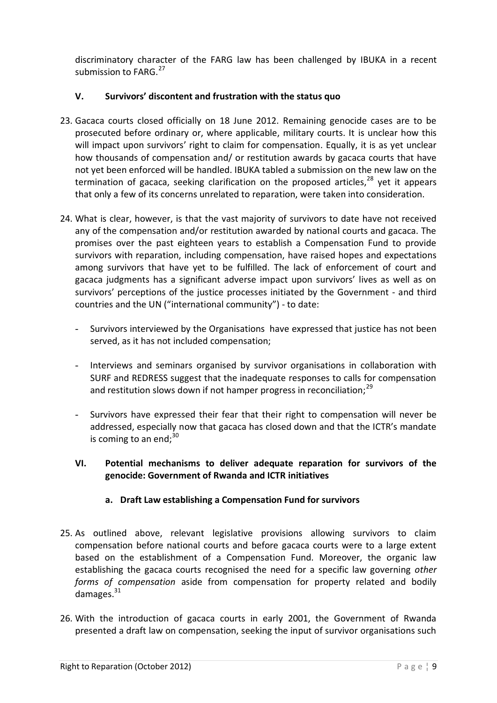discriminatory character of the FARG law has been challenged by IBUKA in a recent submission to  $FARG.<sup>27</sup>$ 

## <span id="page-8-0"></span>**V. Survivors' discontent and frustration with the status quo**

- 23. Gacaca courts closed officially on 18 June 2012. Remaining genocide cases are to be prosecuted before ordinary or, where applicable, military courts. It is unclear how this will impact upon survivors' right to claim for compensation. Equally, it is as yet unclear how thousands of compensation and/ or restitution awards by gacaca courts that have not yet been enforced will be handled. IBUKA tabled a submission on the new law on the termination of gacaca, seeking clarification on the proposed articles, $28$  yet it appears that only a few of its concerns unrelated to reparation, were taken into consideration.
- 24. What is clear, however, is that the vast majority of survivors to date have not received any of the compensation and/or restitution awarded by national courts and gacaca. The promises over the past eighteen years to establish a Compensation Fund to provide survivors with reparation, including compensation, have raised hopes and expectations among survivors that have yet to be fulfilled. The lack of enforcement of court and gacaca judgments has a significant adverse impact upon survivors' lives as well as on survivors' perceptions of the justice processes initiated by the Government - and third countries and the UN ("international community") - to date:
	- Survivors interviewed by the Organisations have expressed that justice has not been served, as it has not included compensation;
	- Interviews and seminars organised by survivor organisations in collaboration with SURF and REDRESS suggest that the inadequate responses to calls for compensation and restitution slows down if not hamper progress in reconciliation; $^{29}$
	- Survivors have expressed their fear that their right to compensation will never be addressed, especially now that gacaca has closed down and that the ICTR's mandate is coming to an end: $30<sup>30</sup>$

## <span id="page-8-1"></span>**VI. Potential mechanisms to deliver adequate reparation for survivors of the genocide: Government of Rwanda and ICTR initiatives**

### **a. Draft Law establishing a Compensation Fund for survivors**

- <span id="page-8-2"></span>25. As outlined above, relevant legislative provisions allowing survivors to claim compensation before national courts and before gacaca courts were to a large extent based on the establishment of a Compensation Fund. Moreover, the organic law establishing the gacaca courts recognised the need for a specific law governing *other forms of compensation* aside from compensation for property related and bodily damages. $31$
- 26. With the introduction of gacaca courts in early 2001, the Government of Rwanda presented a draft law on compensation, seeking the input of survivor organisations such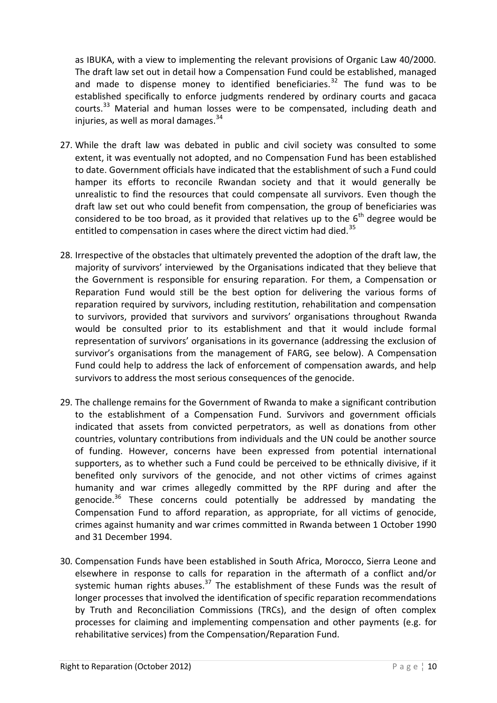as IBUKA, with a view to implementing the relevant provisions of Organic Law 40/2000. The draft law set out in detail how a Compensation Fund could be established, managed and made to dispense money to identified beneficiaries.<sup>32</sup> The fund was to be established specifically to enforce judgments rendered by ordinary courts and gacaca courts.<sup>33</sup> Material and human losses were to be compensated, including death and injuries, as well as moral damages. $34$ 

- 27. While the draft law was debated in public and civil society was consulted to some extent, it was eventually not adopted, and no Compensation Fund has been established to date. Government officials have indicated that the establishment of such a Fund could hamper its efforts to reconcile Rwandan society and that it would generally be unrealistic to find the resources that could compensate all survivors. Even though the draft law set out who could benefit from compensation, the group of beneficiaries was considered to be too broad, as it provided that relatives up to the  $6<sup>th</sup>$  degree would be entitled to compensation in cases where the direct victim had died.<sup>35</sup>
- 28. Irrespective of the obstacles that ultimately prevented the adoption of the draft law, the majority of survivors' interviewed by the Organisations indicated that they believe that the Government is responsible for ensuring reparation. For them, a Compensation or Reparation Fund would still be the best option for delivering the various forms of reparation required by survivors, including restitution, rehabilitation and compensation to survivors, provided that survivors and survivors' organisations throughout Rwanda would be consulted prior to its establishment and that it would include formal representation of survivors' organisations in its governance (addressing the exclusion of survivor's organisations from the management of FARG, see below). A Compensation Fund could help to address the lack of enforcement of compensation awards, and help survivors to address the most serious consequences of the genocide.
- 29. The challenge remains for the Government of Rwanda to make a significant contribution to the establishment of a Compensation Fund. Survivors and government officials indicated that assets from convicted perpetrators, as well as donations from other countries, voluntary contributions from individuals and the UN could be another source of funding. However, concerns have been expressed from potential international supporters, as to whether such a Fund could be perceived to be ethnically divisive, if it benefited only survivors of the genocide, and not other victims of crimes against humanity and war crimes allegedly committed by the RPF during and after the genocide. $36$  These concerns could potentially be addressed by mandating the Compensation Fund to afford reparation, as appropriate, for all victims of genocide, crimes against humanity and war crimes committed in Rwanda between 1 October 1990 and 31 December 1994.
- 30. Compensation Funds have been established in South Africa, Morocco, Sierra Leone and elsewhere in response to calls for reparation in the aftermath of a conflict and/or systemic human rights abuses. $37$  The establishment of these Funds was the result of longer processes that involved the identification of specific reparation recommendations by Truth and Reconciliation Commissions (TRCs), and the design of often complex processes for claiming and implementing compensation and other payments (e.g. for rehabilitative services) from the Compensation/Reparation Fund.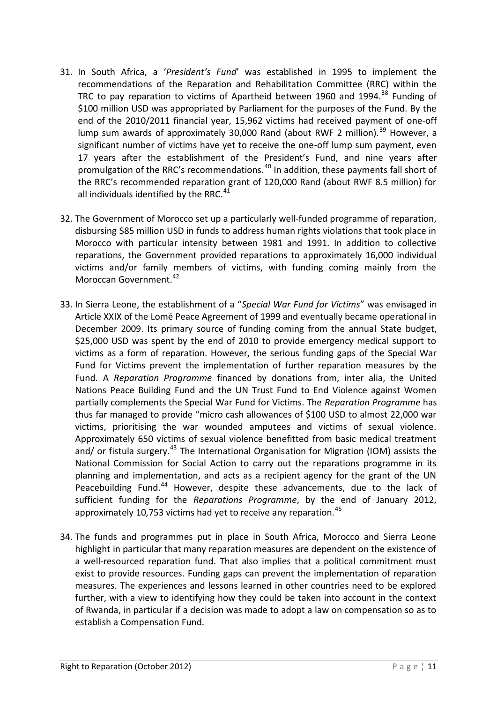- 31. In South Africa, a '*President's Fund*' was established in 1995 to implement the recommendations of the Reparation and Rehabilitation Committee (RRC) within the TRC to pay reparation to victims of Apartheid between 1960 and 1994.<sup>38</sup> Funding of \$100 million USD was appropriated by Parliament for the purposes of the Fund. By the end of the 2010/2011 financial year, 15,962 victims had received payment of one-off lump sum awards of approximately 30,000 Rand (about RWF 2 million).<sup>39</sup> However, a significant number of victims have yet to receive the one-off lump sum payment, even 17 years after the establishment of the President's Fund, and nine years after promulgation of the RRC's recommendations.<sup>40</sup> In addition, these payments fall short of the RRC's recommended reparation grant of 120,000 Rand (about RWF 8.5 million) for all individuals identified by the RRC. $41$
- 32. The Government of Morocco set up a particularly well-funded programme of reparation, disbursing \$85 million USD in funds to address human rights violations that took place in Morocco with particular intensity between 1981 and 1991. In addition to collective reparations, the Government provided reparations to approximately 16,000 individual victims and/or family members of victims, with funding coming mainly from the Moroccan Government.<sup>42</sup>
- 33. In Sierra Leone, the establishment of a "*Special War Fund for Victims*" was envisaged in Article XXIX of the Lomé Peace Agreement of 1999 and eventually became operational in December 2009. Its primary source of funding coming from the annual State budget, \$25,000 USD was spent by the end of 2010 to provide emergency medical support to victims as a form of reparation. However, the serious funding gaps of the Special War Fund for Victims prevent the implementation of further reparation measures by the Fund. A *Reparation Programme* financed by donations from, inter alia, the United Nations Peace Building Fund and the UN Trust Fund to End Violence against Women partially complements the Special War Fund for Victims. The *Reparation Programme* has thus far managed to provide "micro cash allowances of \$100 USD to almost 22,000 war victims, prioritising the war wounded amputees and victims of sexual violence. Approximately 650 victims of sexual violence benefitted from basic medical treatment and/ or fistula surgery.<sup>43</sup> The International Organisation for Migration (IOM) assists the National Commission for Social Action to carry out the reparations programme in its planning and implementation, and acts as a recipient agency for the grant of the UN Peacebuilding Fund.<sup>44</sup> However, despite these advancements, due to the lack of sufficient funding for the *Reparations Programme*, by the end of January 2012, approximately 10,753 victims had yet to receive any reparation.  $45$
- 34. The funds and programmes put in place in South Africa, Morocco and Sierra Leone highlight in particular that many reparation measures are dependent on the existence of a well-resourced reparation fund. That also implies that a political commitment must exist to provide resources. Funding gaps can prevent the implementation of reparation measures. The experiences and lessons learned in other countries need to be explored further, with a view to identifying how they could be taken into account in the context of Rwanda, in particular if a decision was made to adopt a law on compensation so as to establish a Compensation Fund.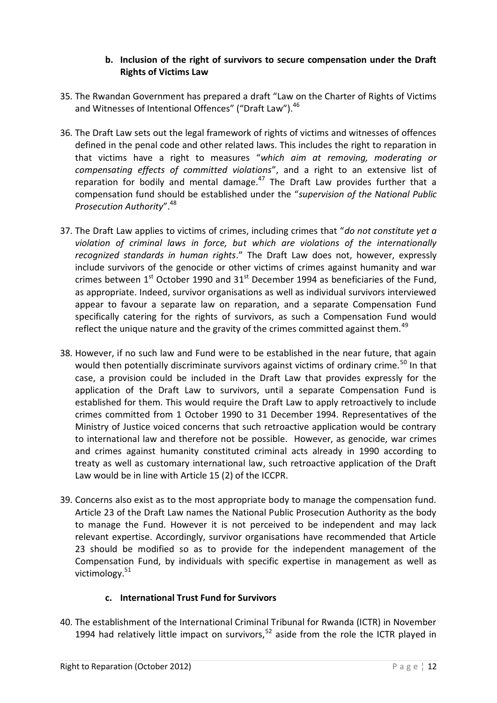### **b. Inclusion of the right of survivors to secure compensation under the Draft Rights of Victims Law**

- <span id="page-11-0"></span>35. The Rwandan Government has prepared a draft "Law on the Charter of Rights of Victims and Witnesses of Intentional Offences" ("Draft Law").<sup>46</sup>
- 36. The Draft Law sets out the legal framework of rights of victims and witnesses of offences defined in the penal code and other related laws. This includes the right to reparation in that victims have a right to measures "*which aim at removing, moderating or compensating effects of committed violations*", and a right to an extensive list of reparation for bodily and mental damage. $47$  The Draft Law provides further that a compensation fund should be established under the "*supervision of the National Public Prosecution Authority*".<sup>48</sup>
- 37. The Draft Law applies to victims of crimes, including crimes that "*do not constitute yet a violation of criminal laws in force, but which are violations of the internationally recognized standards in human rights*." The Draft Law does not, however, expressly include survivors of the genocide or other victims of crimes against humanity and war crimes between  $1<sup>st</sup>$  October 1990 and  $31<sup>st</sup>$  December 1994 as beneficiaries of the Fund, as appropriate. Indeed, survivor organisations as well as individual survivors interviewed appear to favour a separate law on reparation, and a separate Compensation Fund specifically catering for the rights of survivors, as such a Compensation Fund would reflect the unique nature and the gravity of the crimes committed against them.<sup>49</sup>
- 38. However, if no such law and Fund were to be established in the near future, that again would then potentially discriminate survivors against victims of ordinary crime.<sup>50</sup> In that case, a provision could be included in the Draft Law that provides expressly for the application of the Draft Law to survivors, until a separate Compensation Fund is established for them. This would require the Draft Law to apply retroactively to include crimes committed from 1 October 1990 to 31 December 1994. Representatives of the Ministry of Justice voiced concerns that such retroactive application would be contrary to international law and therefore not be possible. However, as genocide, war crimes and crimes against humanity constituted criminal acts already in 1990 according to treaty as well as customary international law, such retroactive application of the Draft Law would be in line with Article 15 (2) of the ICCPR.
- 39. Concerns also exist as to the most appropriate body to manage the compensation fund. Article 23 of the Draft Law names the National Public Prosecution Authority as the body to manage the Fund. However it is not perceived to be independent and may lack relevant expertise. Accordingly, survivor organisations have recommended that Article 23 should be modified so as to provide for the independent management of the Compensation Fund, by individuals with specific expertise in management as well as victimology.<sup>51</sup>

# **c. International Trust Fund for Survivors**

<span id="page-11-1"></span>40. The establishment of the International Criminal Tribunal for Rwanda (ICTR) in November 1994 had relatively little impact on survivors,  $52$  aside from the role the ICTR played in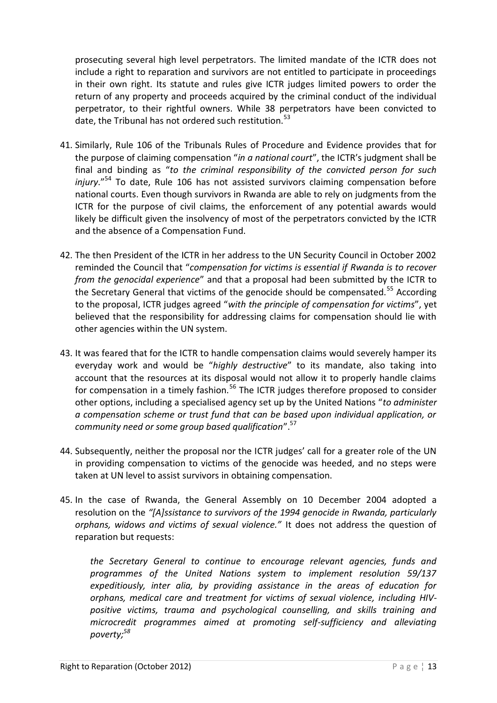prosecuting several high level perpetrators. The limited mandate of the ICTR does not include a right to reparation and survivors are not entitled to participate in proceedings in their own right. Its statute and rules give ICTR judges limited powers to order the return of any property and proceeds acquired by the criminal conduct of the individual perpetrator, to their rightful owners. While 38 perpetrators have been convicted to date, the Tribunal has not ordered such restitution.<sup>53</sup>

- 41. Similarly, Rule 106 of the Tribunals Rules of Procedure and Evidence provides that for the purpose of claiming compensation "*in a national court*", the ICTR's judgment shall be final and binding as "*to the criminal responsibility of the convicted person for such injury*."<sup>54</sup> To date, Rule 106 has not assisted survivors claiming compensation before national courts. Even though survivors in Rwanda are able to rely on judgments from the ICTR for the purpose of civil claims, the enforcement of any potential awards would likely be difficult given the insolvency of most of the perpetrators convicted by the ICTR and the absence of a Compensation Fund.
- 42. The then President of the ICTR in her address to the UN Security Council in October 2002 reminded the Council that "*compensation for victims is essential if Rwanda is to recover from the genocidal experience*" and that a proposal had been submitted by the ICTR to the Secretary General that victims of the genocide should be compensated.<sup>55</sup> According to the proposal, ICTR judges agreed "*with the principle of compensation for victims*", yet believed that the responsibility for addressing claims for compensation should lie with other agencies within the UN system.
- 43. It was feared that for the ICTR to handle compensation claims would severely hamper its everyday work and would be "*highly destructive*" to its mandate, also taking into account that the resources at its disposal would not allow it to properly handle claims for compensation in a timely fashion.<sup>56</sup> The ICTR judges therefore proposed to consider other options, including a specialised agency set up by the United Nations "*to administer a compensation scheme or trust fund that can be based upon individual application, or community need or some group based qualification*".<sup>57</sup>
- 44. Subsequently, neither the proposal nor the ICTR judges' call for a greater role of the UN in providing compensation to victims of the genocide was heeded, and no steps were taken at UN level to assist survivors in obtaining compensation.
- 45. In the case of Rwanda, the General Assembly on 10 December 2004 adopted a resolution on the *"[A]ssistance to survivors of the 1994 genocide in Rwanda, particularly orphans, widows and victims of sexual violence."* It does not address the question of reparation but requests:

*the Secretary General to continue to encourage relevant agencies, funds and programmes of the United Nations system to implement resolution 59/137 expeditiously, inter alia, by providing assistance in the areas of education for orphans, medical care and treatment for victims of sexual violence, including HIVpositive victims, trauma and psychological counselling, and skills training and microcredit programmes aimed at promoting self-sufficiency and alleviating poverty;<sup>58</sup>*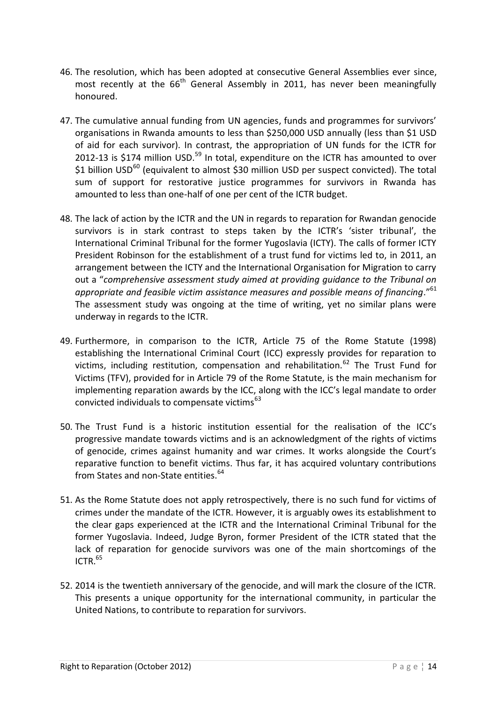- 46. The resolution, which has been adopted at consecutive General Assemblies ever since, most recently at the  $66<sup>th</sup>$  General Assembly in 2011, has never been meaningfully honoured.
- 47. The cumulative annual funding from UN agencies, funds and programmes for survivors' organisations in Rwanda amounts to less than \$250,000 USD annually (less than \$1 USD of aid for each survivor). In contrast, the appropriation of UN funds for the ICTR for 2012-13 is \$174 million USD.<sup>59</sup> In total, expenditure on the ICTR has amounted to over  $$1$  billion USD<sup>60</sup> (equivalent to almost \$30 million USD per suspect convicted). The total sum of support for restorative justice programmes for survivors in Rwanda has amounted to less than one-half of one per cent of the ICTR budget.
- 48. The lack of action by the ICTR and the UN in regards to reparation for Rwandan genocide survivors is in stark contrast to steps taken by the ICTR's 'sister tribunal', the International Criminal Tribunal for the former Yugoslavia (ICTY). The calls of former ICTY President Robinson for the establishment of a trust fund for victims led to, in 2011, an arrangement between the ICTY and the International Organisation for Migration to carry out a "*comprehensive assessment study aimed at providing guidance to the Tribunal on*  appropriate and feasible victim assistance measures and possible means of financing."<sup>61</sup> The assessment study was ongoing at the time of writing, yet no similar plans were underway in regards to the ICTR.
- 49. Furthermore, in comparison to the ICTR, Article 75 of the Rome Statute (1998) establishing the International Criminal Court (ICC) expressly provides for reparation to victims, including restitution, compensation and rehabilitation.<sup>62</sup> The Trust Fund for Victims (TFV), provided for in Article 79 of the Rome Statute, is the main mechanism for implementing reparation awards by the ICC, along with the ICC's legal mandate to order convicted individuals to compensate victims $^{63}$
- 50. The Trust Fund is a historic institution essential for the realisation of the ICC's progressive mandate towards victims and is an acknowledgment of the rights of victims of genocide, crimes against humanity and war crimes. It works alongside the Court's reparative function to benefit victims. Thus far, it has acquired voluntary contributions from States and non-State entities.<sup>64</sup>
- 51. As the Rome Statute does not apply retrospectively, there is no such fund for victims of crimes under the mandate of the ICTR. However, it is arguably owes its establishment to the clear gaps experienced at the ICTR and the International Criminal Tribunal for the former Yugoslavia. Indeed, Judge Byron, former President of the ICTR stated that the lack of reparation for genocide survivors was one of the main shortcomings of the  $ICTR.<sup>65</sup>$
- 52. 2014 is the twentieth anniversary of the genocide, and will mark the closure of the ICTR. This presents a unique opportunity for the international community, in particular the United Nations, to contribute to reparation for survivors.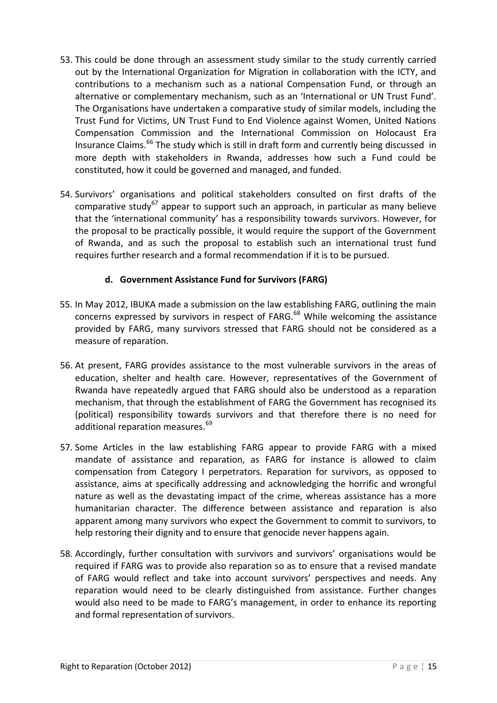- 53. This could be done through an assessment study similar to the study currently carried out by the International Organization for Migration in collaboration with the ICTY, and contributions to a mechanism such as a national Compensation Fund, or through an alternative or complementary mechanism, such as an 'International or UN Trust Fund'. The Organisations have undertaken a comparative study of similar models, including the Trust Fund for Victims, UN Trust Fund to End Violence against Women, United Nations Compensation Commission and the International Commission on Holocaust Era Insurance Claims.<sup>66</sup> The study which is still in draft form and currently being discussed in more depth with stakeholders in Rwanda, addresses how such a Fund could be constituted, how it could be governed and managed, and funded.
- 54. Survivors' organisations and political stakeholders consulted on first drafts of the comparative study<sup>67</sup> appear to support such an approach, in particular as many believe that the 'international community' has a responsibility towards survivors. However, for the proposal to be practically possible, it would require the support of the Government of Rwanda, and as such the proposal to establish such an international trust fund requires further research and a formal recommendation if it is to be pursued.

### **d. Government Assistance Fund for Survivors (FARG)**

- <span id="page-14-0"></span>55. In May 2012, IBUKA made a submission on the law establishing FARG, outlining the main concerns expressed by survivors in respect of FARG. $^{68}$  While welcoming the assistance provided by FARG, many survivors stressed that FARG should not be considered as a measure of reparation.
- 56. At present, FARG provides assistance to the most vulnerable survivors in the areas of education, shelter and health care. However, representatives of the Government of Rwanda have repeatedly argued that FARG should also be understood as a reparation mechanism, that through the establishment of FARG the Government has recognised its (political) responsibility towards survivors and that therefore there is no need for additional reparation measures.<sup>69</sup>
- 57. Some Articles in the law establishing FARG appear to provide FARG with a mixed mandate of assistance and reparation, as FARG for instance is allowed to claim compensation from Category I perpetrators. Reparation for survivors, as opposed to assistance, aims at specifically addressing and acknowledging the horrific and wrongful nature as well as the devastating impact of the crime, whereas assistance has a more humanitarian character. The difference between assistance and reparation is also apparent among many survivors who expect the Government to commit to survivors, to help restoring their dignity and to ensure that genocide never happens again.
- 58. Accordingly, further consultation with survivors and survivors' organisations would be required if FARG was to provide also reparation so as to ensure that a revised mandate of FARG would reflect and take into account survivors' perspectives and needs. Any reparation would need to be clearly distinguished from assistance. Further changes would also need to be made to FARG's management, in order to enhance its reporting and formal representation of survivors.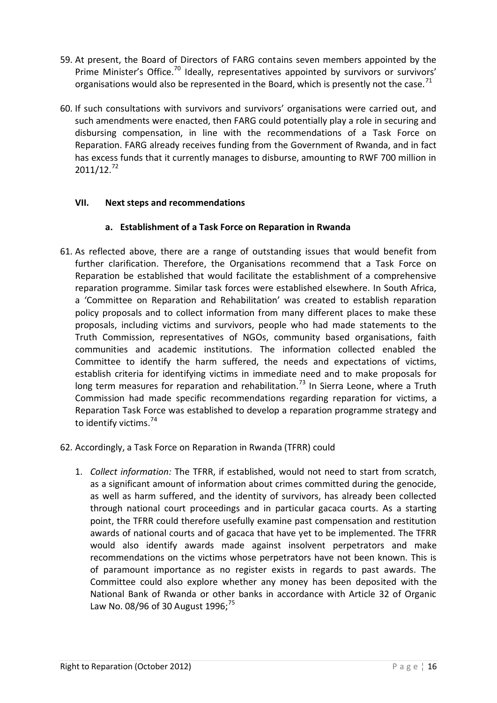- 59. At present, the Board of Directors of FARG contains seven members appointed by the Prime Minister's Office.<sup>70</sup> Ideally, representatives appointed by survivors or survivors' organisations would also be represented in the Board, which is presently not the case.<sup>71</sup>
- 60. If such consultations with survivors and survivors' organisations were carried out, and such amendments were enacted, then FARG could potentially play a role in securing and disbursing compensation, in line with the recommendations of a Task Force on Reparation. FARG already receives funding from the Government of Rwanda, and in fact has excess funds that it currently manages to disburse, amounting to RWF 700 million in  $2011/12.<sup>72</sup>$

### <span id="page-15-0"></span>**VII. Next steps and recommendations**

### **a. Establishment of a Task Force on Reparation in Rwanda**

61. As reflected above, there are a range of outstanding issues that would benefit from further clarification. Therefore, the Organisations recommend that a Task Force on Reparation be established that would facilitate the establishment of a comprehensive reparation programme. Similar task forces were established elsewhere. In South Africa, a 'Committee on Reparation and Rehabilitation' was created to establish reparation policy proposals and to collect information from many different places to make these proposals, including victims and survivors, people who had made statements to the Truth Commission, representatives of NGOs, community based organisations, faith communities and academic institutions. The information collected enabled the Committee to identify the harm suffered, the needs and expectations of victims, establish criteria for identifying victims in immediate need and to make proposals for long term measures for reparation and rehabilitation.<sup>73</sup> In Sierra Leone, where a Truth Commission had made specific recommendations regarding reparation for victims, a Reparation Task Force was established to develop a reparation programme strategy and to identify victims.<sup>74</sup>

### 62. Accordingly, a Task Force on Reparation in Rwanda (TFRR) could

1. *Collect information:* The TFRR, if established, would not need to start from scratch, as a significant amount of information about crimes committed during the genocide, as well as harm suffered, and the identity of survivors, has already been collected through national court proceedings and in particular gacaca courts. As a starting point, the TFRR could therefore usefully examine past compensation and restitution awards of national courts and of gacaca that have yet to be implemented. The TFRR would also identify awards made against insolvent perpetrators and make recommendations on the victims whose perpetrators have not been known. This is of paramount importance as no register exists in regards to past awards. The Committee could also explore whether any money has been deposited with the National Bank of Rwanda or other banks in accordance with Article 32 of Organic Law No. 08/96 of 30 August 1996;<sup>75</sup>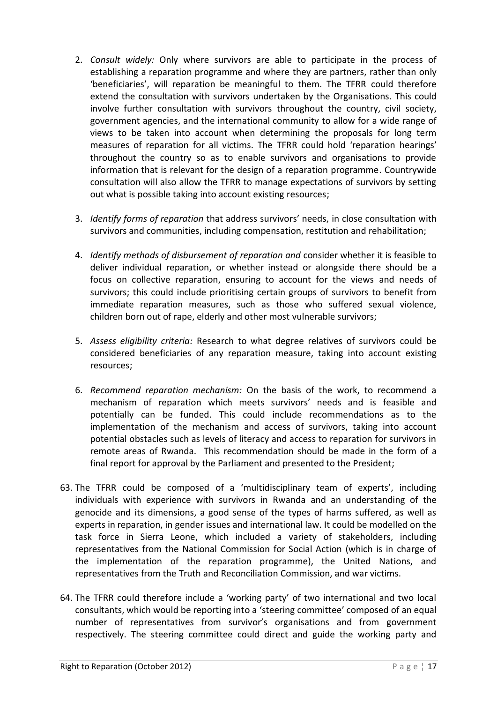- 2. *Consult widely:* Only where survivors are able to participate in the process of establishing a reparation programme and where they are partners, rather than only 'beneficiaries', will reparation be meaningful to them. The TFRR could therefore extend the consultation with survivors undertaken by the Organisations. This could involve further consultation with survivors throughout the country, civil society, government agencies, and the international community to allow for a wide range of views to be taken into account when determining the proposals for long term measures of reparation for all victims. The TFRR could hold 'reparation hearings' throughout the country so as to enable survivors and organisations to provide information that is relevant for the design of a reparation programme. Countrywide consultation will also allow the TFRR to manage expectations of survivors by setting out what is possible taking into account existing resources;
- 3. *Identify forms of reparation* that address survivors' needs, in close consultation with survivors and communities, including compensation, restitution and rehabilitation;
- 4. *Identify methods of disbursement of reparation and* consider whether it is feasible to deliver individual reparation, or whether instead or alongside there should be a focus on collective reparation, ensuring to account for the views and needs of survivors; this could include prioritising certain groups of survivors to benefit from immediate reparation measures, such as those who suffered sexual violence, children born out of rape, elderly and other most vulnerable survivors;
- 5. *Assess eligibility criteria:* Research to what degree relatives of survivors could be considered beneficiaries of any reparation measure, taking into account existing resources;
- 6. *Recommend reparation mechanism:* On the basis of the work, to recommend a mechanism of reparation which meets survivors' needs and is feasible and potentially can be funded. This could include recommendations as to the implementation of the mechanism and access of survivors, taking into account potential obstacles such as levels of literacy and access to reparation for survivors in remote areas of Rwanda. This recommendation should be made in the form of a final report for approval by the Parliament and presented to the President;
- 63. The TFRR could be composed of a 'multidisciplinary team of experts', including individuals with experience with survivors in Rwanda and an understanding of the genocide and its dimensions, a good sense of the types of harms suffered, as well as experts in reparation, in gender issues and international law. It could be modelled on the task force in Sierra Leone, which included a variety of stakeholders, including representatives from the National Commission for Social Action (which is in charge of the implementation of the reparation programme), the United Nations, and representatives from the Truth and Reconciliation Commission, and war victims.
- 64. The TFRR could therefore include a 'working party' of two international and two local consultants, which would be reporting into a 'steering committee' composed of an equal number of representatives from survivor's organisations and from government respectively. The steering committee could direct and guide the working party and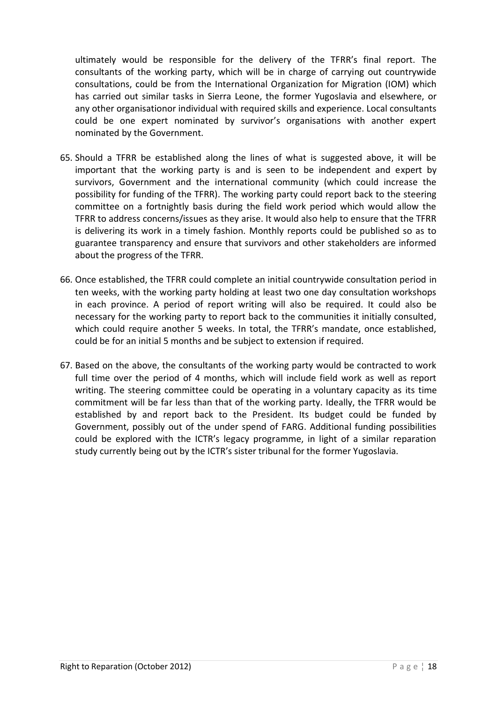ultimately would be responsible for the delivery of the TFRR's final report. The consultants of the working party, which will be in charge of carrying out countrywide consultations, could be from the International Organization for Migration (IOM) which has carried out similar tasks in Sierra Leone, the former Yugoslavia and elsewhere, or any other organisationor individual with required skills and experience. Local consultants could be one expert nominated by survivor's organisations with another expert nominated by the Government.

- 65. Should a TFRR be established along the lines of what is suggested above, it will be important that the working party is and is seen to be independent and expert by survivors, Government and the international community (which could increase the possibility for funding of the TFRR). The working party could report back to the steering committee on a fortnightly basis during the field work period which would allow the TFRR to address concerns/issues as they arise. It would also help to ensure that the TFRR is delivering its work in a timely fashion. Monthly reports could be published so as to guarantee transparency and ensure that survivors and other stakeholders are informed about the progress of the TFRR.
- 66. Once established, the TFRR could complete an initial countrywide consultation period in ten weeks, with the working party holding at least two one day consultation workshops in each province. A period of report writing will also be required. It could also be necessary for the working party to report back to the communities it initially consulted, which could require another 5 weeks. In total, the TFRR's mandate, once established, could be for an initial 5 months and be subject to extension if required.
- 67. Based on the above, the consultants of the working party would be contracted to work full time over the period of 4 months, which will include field work as well as report writing. The steering committee could be operating in a voluntary capacity as its time commitment will be far less than that of the working party. Ideally, the TFRR would be established by and report back to the President. Its budget could be funded by Government, possibly out of the under spend of FARG. Additional funding possibilities could be explored with the ICTR's legacy programme, in light of a similar reparation study currently being out by the ICTR's sister tribunal for the former Yugoslavia.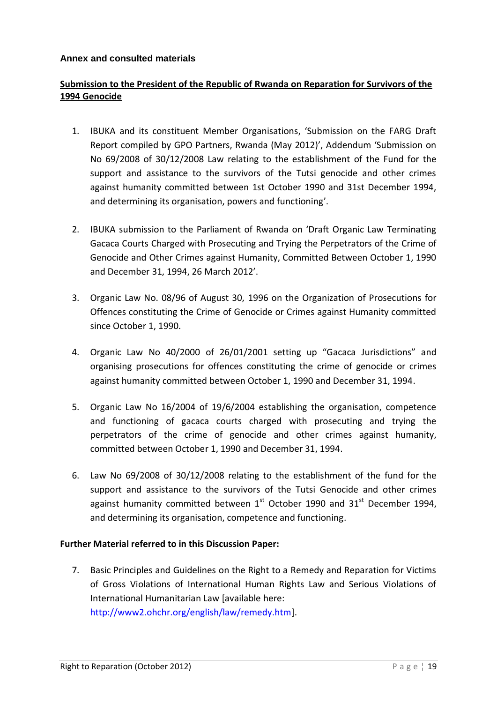### <span id="page-18-0"></span>**Annex and consulted materials**

## **Submission to the President of the Republic of Rwanda on Reparation for Survivors of the 1994 Genocide**

- 1. IBUKA and its constituent Member Organisations, 'Submission on the FARG Draft Report compiled by GPO Partners, Rwanda (May 2012)', Addendum 'Submission on No 69/2008 of 30/12/2008 Law relating to the establishment of the Fund for the support and assistance to the survivors of the Tutsi genocide and other crimes against humanity committed between 1st October 1990 and 31st December 1994, and determining its organisation, powers and functioning'.
- 2. IBUKA submission to the Parliament of Rwanda on 'Draft Organic Law Terminating Gacaca Courts Charged with Prosecuting and Trying the Perpetrators of the Crime of Genocide and Other Crimes against Humanity, Committed Between October 1, 1990 and December 31, 1994, 26 March 2012'.
- 3. Organic Law No. 08/96 of August 30, 1996 on the Organization of Prosecutions for Offences constituting the Crime of Genocide or Crimes against Humanity committed since October 1, 1990.
- 4. Organic Law No 40/2000 of 26/01/2001 setting up "Gacaca Jurisdictions" and organising prosecutions for offences constituting the crime of genocide or crimes against humanity committed between October 1, 1990 and December 31, 1994.
- 5. Organic Law No 16/2004 of 19/6/2004 establishing the organisation, competence and functioning of gacaca courts charged with prosecuting and trying the perpetrators of the crime of genocide and other crimes against humanity, committed between October 1, 1990 and December 31, 1994.
- 6. Law No 69/2008 of 30/12/2008 relating to the establishment of the fund for the support and assistance to the survivors of the Tutsi Genocide and other crimes against humanity committed between  $1^{st}$  October 1990 and  $31^{st}$  December 1994, and determining its organisation, competence and functioning.

#### **Further Material referred to in this Discussion Paper:**

7. Basic Principles and Guidelines on the Right to a Remedy and Reparation for Victims of Gross Violations of International Human Rights Law and Serious Violations of International Humanitarian Law [available here: [http://www2.ohchr.org/english/law/remedy.htm\]](http://www2.ohchr.org/english/law/remedy.htm).

Right to Reparation (October 2012) **P** a g e  $\vert$  19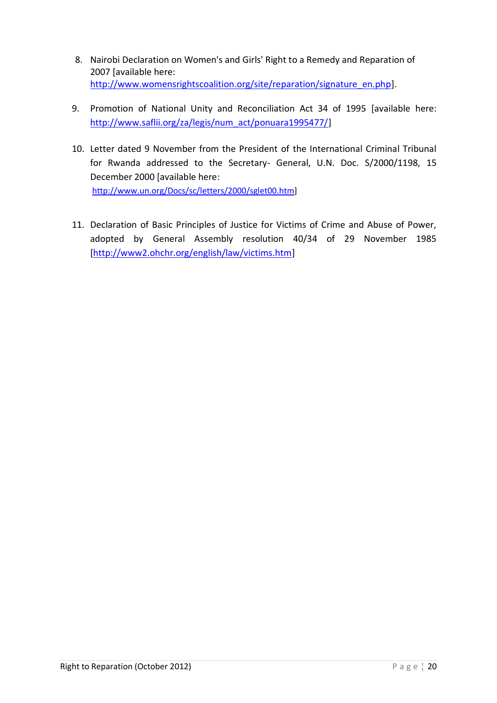- 8. Nairobi Declaration on Women's and Girls' Right to a Remedy and Reparation of 2007 [available here: [http://www.womensrightscoalition.org/site/reparation/signature\\_en.php\]](http://www.womensrightscoalition.org/site/reparation/signature_en.php).
- 9. Promotion of National Unity and Reconciliation Act 34 of 1995 [available here: [http://www.saflii.org/za/legis/num\\_act/ponuara1995477/\]](http://www.saflii.org/za/legis/num_act/ponuara1995477/)
- 10. Letter dated 9 November from the President of the International Criminal Tribunal for Rwanda addressed to the Secretary- General, U.N. Doc. S/2000/1198, 15 December 2000 [available here: [http://www.un.org/Docs/sc/letters/2000/sglet00.htm\]](http://www.un.org/Docs/sc/letters/2000/sglet00.htm)
- 11. Declaration of Basic Principles of Justice for Victims of Crime and Abuse of Power, adopted by General Assembly resolution 40/34 of 29 November 1985 [\[http://www2.ohchr.org/english/law/victims.htm\]](http://www2.ohchr.org/english/law/victims.htm)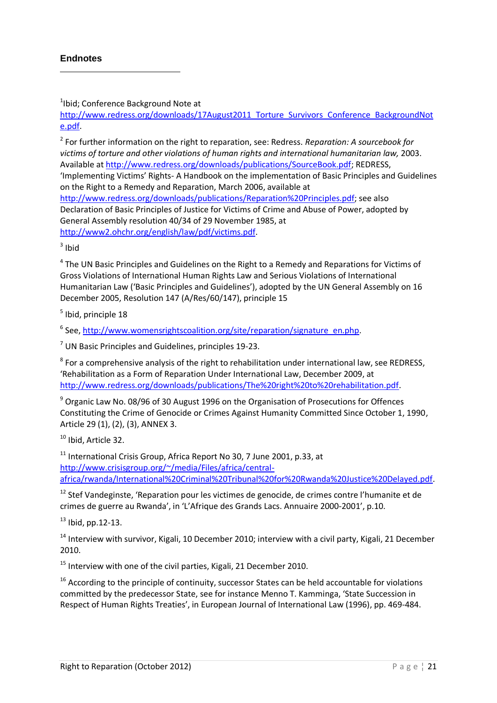<span id="page-20-0"></span>**.** 

1 Ibid; Conference Background Note at

[http://www.redress.org/downloads/17August2011\\_Torture\\_Survivors\\_Conference\\_BackgroundNot](http://www.redress.org/downloads/17August2011_Torture_Survivors_Conference_BackgroundNote.pdf) [e.pdf.](http://www.redress.org/downloads/17August2011_Torture_Survivors_Conference_BackgroundNote.pdf)

2 For further information on the right to reparation, see: Redress. *Reparation: A sourcebook for victims of torture and other violations of human rights and international humanitarian law,* 2003. Available a[t http://www.redress.org/downloads/publications/SourceBook.pdf;](http://www.redress.org/downloads/publications/SourceBook.pdf) REDRESS,

'Implementing Victims' Rights- A Handbook on the implementation of Basic Principles and Guidelines on the Right to a Remedy and Reparation, March 2006, available at

[http://www.redress.org/downloads/publications/Reparation%20Principles.pdf;](http://www.redress.org/downloads/publications/Reparation%20Principles.pdf) see also Declaration of Basic Principles of Justice for Victims of Crime and Abuse of Power, adopted by General Assembly resolution 40/34 of 29 November 1985, at [http://www2.ohchr.org/english/law/pdf/victims.pdf.](http://www2.ohchr.org/english/law/pdf/victims.pdf)

 $3$  Ibid

<sup>4</sup> The UN Basic Principles and Guidelines on the Right to a Remedy and Reparations for Victims of Gross Violations of International Human Rights Law and Serious Violations of International Humanitarian Law ('Basic Principles and Guidelines'), adopted by the UN General Assembly on 16 December 2005, Resolution 147 (A/Res/60/147), principle 15

<sup>5</sup> Ibid, principle 18

<sup>6</sup> See, [http://www.womensrightscoalition.org/site/reparation/signature\\_en.php.](http://www.womensrightscoalition.org/site/reparation/signature_en.php)

 $<sup>7</sup>$  UN Basic Principles and Guidelines, principles 19-23.</sup>

 $^8$  For a comprehensive analysis of the right to rehabilitation under international law, see REDRESS, 'Rehabilitation as a Form of Reparation Under International Law, December 2009, at [http://www.redress.org/downloads/publications/The%20right%20to%20rehabilitation.pdf.](http://www.redress.org/downloads/publications/The%20right%20to%20rehabilitation.pdf)

<sup>9</sup> Organic Law No. 08/96 of 30 August 1996 on the Organisation of Prosecutions for Offences Constituting the Crime of Genocide or Crimes Against Humanity Committed Since October 1, 1990, Article 29 (1), (2), (3), ANNEX 3.

<sup>10</sup> Ibid, Article 32.

 $11$  International Crisis Group, Africa Report No 30, 7 June 2001, p.33, at [http://www.crisisgroup.org/~/media/Files/africa/central](http://www.crisisgroup.org/~/media/Files/africa/central-africa/rwanda/International%20Criminal%20Tribunal%20for%20Rwanda%20Justice%20Delayed.pdf)[africa/rwanda/International%20Criminal%20Tribunal%20for%20Rwanda%20Justice%20Delayed.pdf.](http://www.crisisgroup.org/~/media/Files/africa/central-africa/rwanda/International%20Criminal%20Tribunal%20for%20Rwanda%20Justice%20Delayed.pdf)

<sup>12</sup> Stef Vandeginste, 'Reparation pour les victimes de genocide, de crimes contre l'humanite et de crimes de guerre au Rwanda', in 'L'Afrique des Grands Lacs. Annuaire 2000-2001', p.10.

 $13$  Ibid, pp. 12-13.

<sup>14</sup> Interview with survivor, Kigali, 10 December 2010; interview with a civil party, Kigali, 21 December 2010.

 $15$  Interview with one of the civil parties. Kigali, 21 December 2010.

 $16$  According to the principle of continuity, successor States can be held accountable for violations committed by the predecessor State, see for instance Menno T. Kamminga, 'State Succession in Respect of Human Rights Treaties', in European Journal of International Law (1996), pp. 469-484.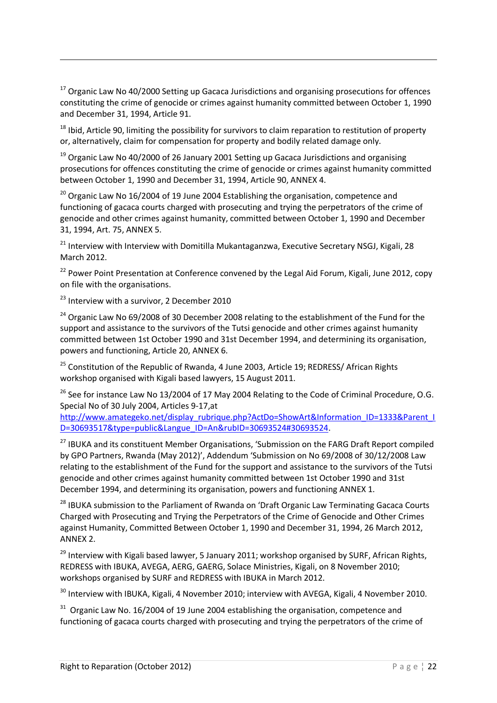$17$  Organic Law No 40/2000 Setting up Gacaca Jurisdictions and organising prosecutions for offences constituting the crime of genocide or crimes against humanity committed between October 1, 1990 and December 31, 1994, Article 91.

<sup>18</sup> Ibid, Article 90, limiting the possibility for survivors to claim reparation to restitution of property or, alternatively, claim for compensation for property and bodily related damage only.

 $19$  Organic Law No 40/2000 of 26 January 2001 Setting up Gacaca Jurisdictions and organising prosecutions for offences constituting the crime of genocide or crimes against humanity committed between October 1, 1990 and December 31, 1994, Article 90, ANNEX 4.

 $20$  Organic Law No 16/2004 of 19 June 2004 Establishing the organisation, competence and functioning of gacaca courts charged with prosecuting and trying the perpetrators of the crime of genocide and other crimes against humanity, committed between October 1, 1990 and December 31, 1994, Art. 75, ANNEX 5.

<sup>21</sup> Interview with Interview with Domitilla Mukantaganzwa, Executive Secretary NSGJ, Kigali, 28 March 2012.

 $22$  Power Point Presentation at Conference convened by the Legal Aid Forum, Kigali, June 2012, copy on file with the organisations.

<sup>23</sup> Interview with a survivor, 2 December 2010

1

<sup>24</sup> Organic Law No 69/2008 of 30 December 2008 relating to the establishment of the Fund for the support and assistance to the survivors of the Tutsi genocide and other crimes against humanity committed between 1st October 1990 and 31st December 1994, and determining its organisation, powers and functioning, Article 20, ANNEX 6.

 $25$  Constitution of the Republic of Rwanda, 4 June 2003, Article 19; REDRESS/ African Rights workshop organised with Kigali based lawyers, 15 August 2011.

 $^{26}$  See for instance Law No 13/2004 of 17 May 2004 Relating to the Code of Criminal Procedure, O.G. Special No of 30 July 2004, Articles 9-17,at

[http://www.amategeko.net/display\\_rubrique.php?ActDo=ShowArt&Information\\_ID=1333&Parent\\_I](http://www.amategeko.net/display_rubrique.php?ActDo=ShowArt&Information_ID=1333&Parent_ID=30693517&type=public&Langue_ID=An&rubID=30693524#30693524) [D=30693517&type=public&Langue\\_ID=An&rubID=30693524#30693524.](http://www.amategeko.net/display_rubrique.php?ActDo=ShowArt&Information_ID=1333&Parent_ID=30693517&type=public&Langue_ID=An&rubID=30693524#30693524)

<sup>27</sup> IBUKA and its constituent Member Organisations, 'Submission on the FARG Draft Report compiled by GPO Partners, Rwanda (May 2012)', Addendum 'Submission on No 69/2008 of 30/12/2008 Law relating to the establishment of the Fund for the support and assistance to the survivors of the Tutsi genocide and other crimes against humanity committed between 1st October 1990 and 31st December 1994, and determining its organisation, powers and functioning ANNEX 1.

<sup>28</sup> IBUKA submission to the Parliament of Rwanda on 'Draft Organic Law Terminating Gacaca Courts Charged with Prosecuting and Trying the Perpetrators of the Crime of Genocide and Other Crimes against Humanity, Committed Between October 1, 1990 and December 31, 1994, 26 March 2012, ANNEX 2.

<sup>29</sup> Interview with Kigali based lawyer, 5 January 2011; workshop organised by SURF, African Rights, REDRESS with IBUKA, AVEGA, AERG, GAERG, Solace Ministries, Kigali, on 8 November 2010; workshops organised by SURF and REDRESS with IBUKA in March 2012.

<sup>30</sup> Interview with IBUKA, Kigali, 4 November 2010; interview with AVEGA, Kigali, 4 November 2010.

 $31$  Organic Law No. 16/2004 of 19 June 2004 establishing the organisation, competence and functioning of gacaca courts charged with prosecuting and trying the perpetrators of the crime of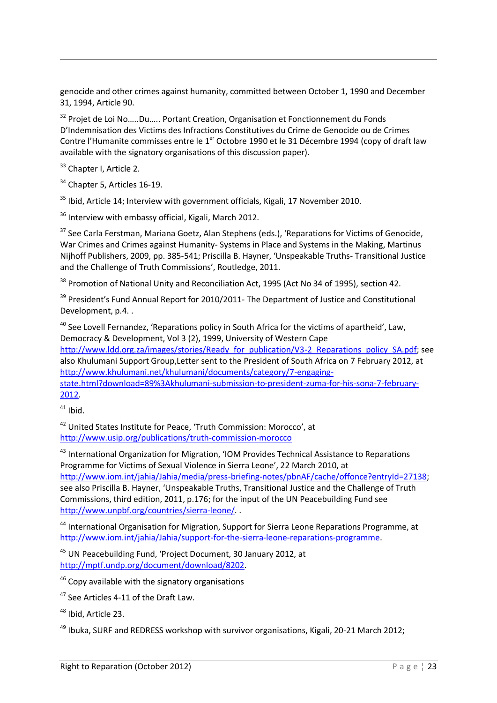genocide and other crimes against humanity, committed between October 1, 1990 and December 31, 1994, Article 90.

<sup>32</sup> Projet de Loi No.....Du..... Portant Creation, Organisation et Fonctionnement du Fonds D'Indemnisation des Victims des Infractions Constitutives du Crime de Genocide ou de Crimes Contre l'Humanite commisses entre le 1<sup>er</sup> Octobre 1990 et le 31 Décembre 1994 (copy of draft law available with the signatory organisations of this discussion paper).

<sup>33</sup> Chapter I, Article 2.

1

<sup>34</sup> Chapter 5, Articles 16-19.

 $35$  Ibid, Article 14; Interview with government officials, Kigali, 17 November 2010.

<sup>36</sup> Interview with embassy official, Kigali, March 2012.

<sup>37</sup> See Carla Ferstman, Mariana Goetz, Alan Stephens (eds.), 'Reparations for Victims of Genocide, War Crimes and Crimes against Humanity- Systems in Place and Systems in the Making, Martinus Nijhoff Publishers, 2009, pp. 385-541; Priscilla B. Hayner, 'Unspeakable Truths- Transitional Justice and the Challenge of Truth Commissions', Routledge, 2011.

<sup>38</sup> Promotion of National Unity and Reconciliation Act, 1995 (Act No 34 of 1995), section 42.

<sup>39</sup> President's Fund Annual Report for 2010/2011- The Department of Justice and Constitutional Development, p.4. .

 $40$  See Lovell Fernandez, 'Reparations policy in South Africa for the victims of apartheid', Law, Democracy & Development, Vol 3 (2), 1999, University of Western Cape http://www.ldd.org.za/images/stories/Ready\_for\_publication/V3-2\_Reparations\_policy\_SA.pdf: see

also Khulumani Support Group,Letter sent to the President of South Africa on 7 February 2012, at [http://www.khulumani.net/khulumani/documents/category/7-engaging-](http://www.khulumani.net/khulumani/documents/category/7-engaging-state.html?download=89%3Akhulumani-submission-to-president-zuma-for-his-sona-7-february-2012)

[state.html?download=89%3Akhulumani-submission-to-president-zuma-for-his-sona-7-february-](http://www.khulumani.net/khulumani/documents/category/7-engaging-state.html?download=89%3Akhulumani-submission-to-president-zuma-for-his-sona-7-february-2012)[2012.](http://www.khulumani.net/khulumani/documents/category/7-engaging-state.html?download=89%3Akhulumani-submission-to-president-zuma-for-his-sona-7-february-2012) 

 $41$  Ibid.

<sup>42</sup> United States Institute for Peace, 'Truth Commission: Morocco', at <http://www.usip.org/publications/truth-commission-morocco>

<sup>43</sup> International Organization for Migration, 'IOM Provides Technical Assistance to Reparations Programme for Victims of Sexual Violence in Sierra Leone', 22 March 2010, at

[http://www.iom.int/jahia/Jahia/media/press-briefing-notes/pbnAF/cache/offonce?entryId=27138;](http://www.iom.int/jahia/Jahia/media/press-briefing-notes/pbnAF/cache/offonce?entryId=27138) see also Priscilla B. Hayner, 'Unspeakable Truths, Transitional Justice and the Challenge of Truth Commissions, third edition, 2011, p.176; for the input of the UN Peacebuilding Fund see [http://www.unpbf.org/countries/sierra-leone/.](http://www.unpbf.org/countries/sierra-leone/) .

<sup>44</sup> International Organisation for Migration, Support for Sierra Leone Reparations Programme, at [http://www.iom.int/jahia/Jahia/support-for-the-sierra-leone-reparations-programme.](http://www.iom.int/jahia/Jahia/support-for-the-sierra-leone-reparations-programme)

<sup>45</sup> UN Peacebuilding Fund, 'Project Document, 30 January 2012, at [http://mptf.undp.org/document/download/8202.](http://mptf.undp.org/document/download/8202)

<sup>46</sup> Copy available with the signatory organisations

<sup>47</sup> See Articles 4-11 of the Draft Law.

<sup>48</sup> Ibid, Article 23.

 $49$  Ibuka, SURF and REDRESS workshop with survivor organisations, Kigali, 20-21 March 2012;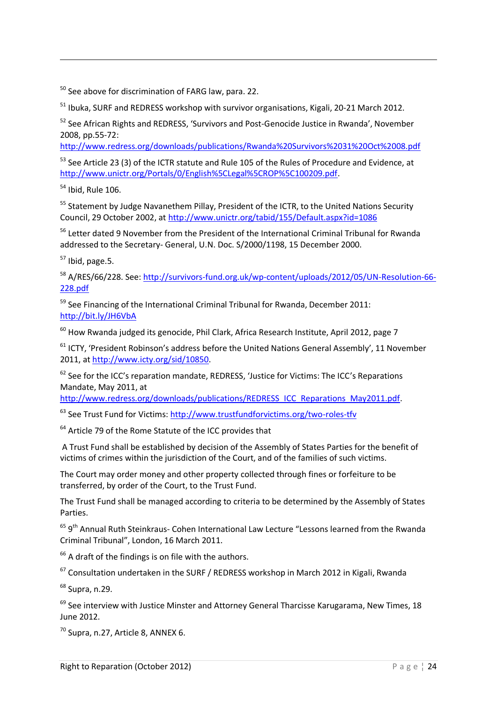<sup>50</sup> See above for discrimination of FARG law, para, 22.

<sup>51</sup> Ibuka, SURF and REDRESS workshop with survivor organisations, Kigali, 20-21 March 2012.

<sup>52</sup> See African Rights and REDRESS, 'Survivors and Post-Genocide Justice in Rwanda', November 2008, pp.55-72:

<http://www.redress.org/downloads/publications/Rwanda%20Survivors%2031%20Oct%2008.pdf>

<sup>53</sup> See Article 23 (3) of the ICTR statute and Rule 105 of the Rules of Procedure and Evidence. at [http://www.unictr.org/Portals/0/English%5CLegal%5CROP%5C100209.pdf.](http://www.unictr.org/Portals/0/English%5CLegal%5CROP%5C100209.pdf)

<sup>54</sup> Ibid, Rule 106.

1

<sup>55</sup> Statement by Judge Navanethem Pillay, President of the ICTR, to the United Nations Security Council, 29 October 2002, at<http://www.unictr.org/tabid/155/Default.aspx?id=1086>

<sup>56</sup> Letter dated 9 November from the President of the International Criminal Tribunal for Rwanda addressed to the Secretary- General, U.N. Doc. S/2000/1198, 15 December 2000.

 $57$  Ibid, page. 5.

<sup>58</sup> A/RES/66/228. See[: http://survivors-fund.org.uk/wp-content/uploads/2012/05/UN-Resolution-66-](http://survivors-fund.org.uk/wp-content/uploads/2012/05/UN-Resolution-66-228.pdf) [228.pdf](http://survivors-fund.org.uk/wp-content/uploads/2012/05/UN-Resolution-66-228.pdf)

 $59$  See Financing of the International Criminal Tribunal for Rwanda, December 2011: <http://bit.ly/JH6VbA>

 $60$  How Rwanda judged its genocide, Phil Clark, Africa Research Institute, April 2012, page 7

 $61$  ICTY, 'President Robinson's address before the United Nations General Assembly', 11 November 2011, at [http://www.icty.org/sid/10850.](http://www.icty.org/sid/10850)

 $62$  See for the ICC's reparation mandate, REDRESS, 'Justice for Victims: The ICC's Reparations Mandate, May 2011, at

[http://www.redress.org/downloads/publications/REDRESS\\_ICC\\_Reparations\\_May2011.pdf.](http://www.redress.org/downloads/publications/REDRESS_ICC_Reparations_May2011.pdf)

<sup>63</sup> See Trust Fund for Victims:<http://www.trustfundforvictims.org/two-roles-tfv>

 $64$  Article 79 of the Rome Statute of the ICC provides that

A Trust Fund shall be established by decision of the Assembly of States Parties for the benefit of victims of crimes within the jurisdiction of the Court, and of the families of such victims.

The Court may order money and other property collected through fines or forfeiture to be transferred, by order of the Court, to the Trust Fund.

The Trust Fund shall be managed according to criteria to be determined by the Assembly of States Parties.

<sup>65</sup> 9<sup>th</sup> Annual Ruth Steinkraus- Cohen International Law Lecture "Lessons learned from the Rwanda Criminal Tribunal", London, 16 March 2011.

 $66$  A draft of the findings is on file with the authors.

 $67$  Consultation undertaken in the SURF / REDRESS workshop in March 2012 in Kigali, Rwanda

<sup>68</sup> Supra, n.29.

 $69$  See interview with Justice Minster and Attorney General Tharcisse Karugarama, New Times, 18 June 2012.

 $70$  Supra, n.27, Article 8, ANNEX 6.